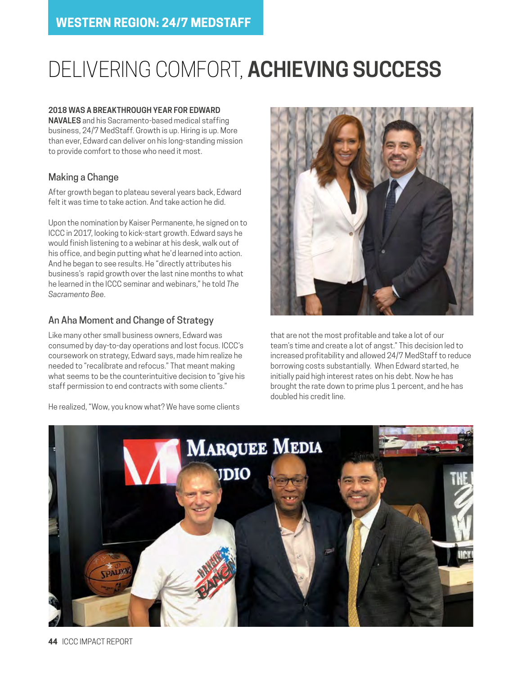# DELIVERING COMFORT, **ACHIEVING SUCCESS**

#### **2018 WAS A BREAKTHROUGH YEAR FOR EDWARD**

**NAVALES** and his Sacramento-based medical staffing business, 24/7 MedStaff. Growth is up. Hiring is up. More than ever, Edward can deliver on his long-standing mission to provide comfort to those who need it most.

## Making a Change

After growth began to plateau several years back, Edward felt it was time to take action. And take action he did.

Upon the nomination by Kaiser Permanente, he signed on to ICCC in 2017, looking to kick-start growth. Edward says he would finish listening to a webinar at his desk, walk out of his office, and begin putting what he'd learned into action. And he began to see results. He "directly attributes his business's rapid growth over the last nine months to what he learned in the ICCC seminar and webinars," he told *The Sacramento Bee*.

### An Aha Moment and Change of Strategy

Like many other small business owners, Edward was consumed by day-to-day operations and lost focus. ICCC's coursework on strategy, Edward says, made him realize he needed to "recalibrate and refocus." That meant making what seems to be the counterintuitive decision to "give his staff permission to end contracts with some clients."

He realized, "Wow, you know what? We have some clients



that are not the most profitable and take a lot of our team's time and create a lot of angst." This decision led to increased profitability and allowed 24/7 MedStaff to reduce borrowing costs substantially. When Edward started, he initially paid high interest rates on his debt. Now he has brought the rate down to prime plus 1 percent, and he has doubled his credit line.